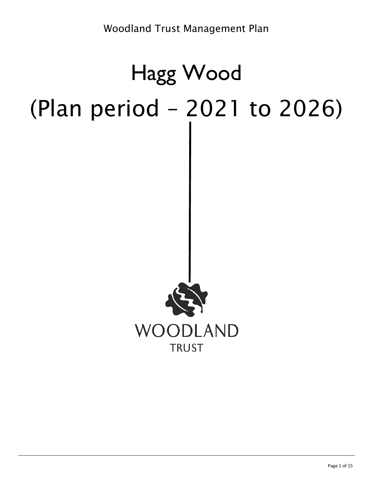# Hagg Wood (Plan period – 2021 to 2026)

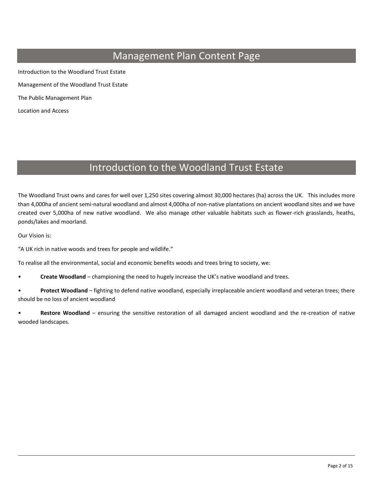# Management Plan Content Page

Introduction to the Woodland Trust Estate Management of the Woodland Trust Estate The Public Management Plan Location and Access

# Introduction to the Woodland Trust Estate

The Woodland Trust owns and cares for well over 1,250 sites covering almost 30,000 hectares (ha) across the UK. This includes more than 4,000ha of ancient semi-natural woodland and almost 4,000ha of non-native plantations on ancient woodland sites and we have created over 5,000ha of new native woodland. We also manage other valuable habitats such as flower-rich grasslands, heaths, ponds/lakes and moorland.

Our Vision is:

"A UK rich in native woods and trees for people and wildlife."

To realise all the environmental, social and economic benefits woods and trees bring to society, we:

• **Create Woodland** – championing the need to hugely increase the UK's native woodland and trees.

• **Protect Woodland** – fighting to defend native woodland, especially irreplaceable ancient woodland and veteran trees; there should be no loss of ancient woodland

• **Restore Woodland** – ensuring the sensitive restoration of all damaged ancient woodland and the re-creation of native wooded landscapes.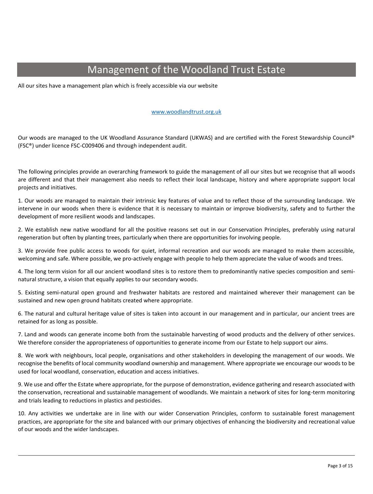# Management of the Woodland Trust Estate

All our sites have a management plan which is freely accessible via our website

#### [www.woodlandtrust.org.uk](http://www.woodlandtrust.org.uk/)

Our woods are managed to the UK Woodland Assurance Standard (UKWAS) and are certified with the Forest Stewardship Council® (FSC®) under licence FSC-C009406 and through independent audit.

The following principles provide an overarching framework to guide the management of all our sites but we recognise that all woods are different and that their management also needs to reflect their local landscape, history and where appropriate support local projects and initiatives.

1. Our woods are managed to maintain their intrinsic key features of value and to reflect those of the surrounding landscape. We intervene in our woods when there is evidence that it is necessary to maintain or improve biodiversity, safety and to further the development of more resilient woods and landscapes.

2. We establish new native woodland for all the positive reasons set out in our Conservation Principles, preferably using natural regeneration but often by planting trees, particularly when there are opportunities for involving people.

3. We provide free public access to woods for quiet, informal recreation and our woods are managed to make them accessible, welcoming and safe. Where possible, we pro-actively engage with people to help them appreciate the value of woods and trees.

4. The long term vision for all our ancient woodland sites is to restore them to predominantly native species composition and seminatural structure, a vision that equally applies to our secondary woods.

5. Existing semi-natural open ground and freshwater habitats are restored and maintained wherever their management can be sustained and new open ground habitats created where appropriate.

6. The natural and cultural heritage value of sites is taken into account in our management and in particular, our ancient trees are retained for as long as possible.

7. Land and woods can generate income both from the sustainable harvesting of wood products and the delivery of other services. We therefore consider the appropriateness of opportunities to generate income from our Estate to help support our aims.

8. We work with neighbours, local people, organisations and other stakeholders in developing the management of our woods. We recognise the benefits of local community woodland ownership and management. Where appropriate we encourage our woods to be used for local woodland, conservation, education and access initiatives.

9. We use and offer the Estate where appropriate, for the purpose of demonstration, evidence gathering and research associated with the conservation, recreational and sustainable management of woodlands. We maintain a network of sites for long-term monitoring and trials leading to reductions in plastics and pesticides.

10. Any activities we undertake are in line with our wider Conservation Principles, conform to sustainable forest management practices, are appropriate for the site and balanced with our primary objectives of enhancing the biodiversity and recreational value of our woods and the wider landscapes.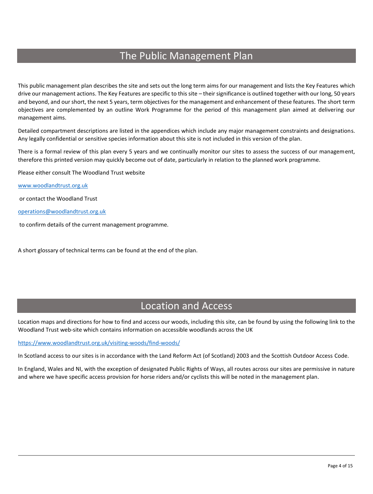# The Public Management Plan

This public management plan describes the site and sets out the long term aims for our management and lists the Key Features which drive our management actions. The Key Features are specific to this site – their significance is outlined together with our long, 50 years and beyond, and our short, the next 5 years, term objectives for the management and enhancement of these features. The short term objectives are complemented by an outline Work Programme for the period of this management plan aimed at delivering our management aims.

Detailed compartment descriptions are listed in the appendices which include any major management constraints and designations. Any legally confidential or sensitive species information about this site is not included in this version of the plan.

There is a formal review of this plan every 5 years and we continually monitor our sites to assess the success of our management, therefore this printed version may quickly become out of date, particularly in relation to the planned work programme.

Please either consult The Woodland Trust website

[www.woodlandtrust.org.uk](http://www.woodlandtrust.org.uk/)

or contact the Woodland Trust

[operations@woodlandtrust.org.uk](mailto:operations@woodlandtrust.org.uk)

to confirm details of the current management programme.

A short glossary of technical terms can be found at the end of the plan.

# Location and Access

Location maps and directions for how to find and access our woods, including this site, can be found by using the following link to the Woodland Trust web-site which contains information on accessible woodlands across the UK

<https://www.woodlandtrust.org.uk/visiting-woods/find-woods/>

In Scotland access to our sites is in accordance with the Land Reform Act (of Scotland) 2003 and the Scottish Outdoor Access Code.

In England, Wales and NI, with the exception of designated Public Rights of Ways, all routes across our sites are permissive in nature and where we have specific access provision for horse riders and/or cyclists this will be noted in the management plan.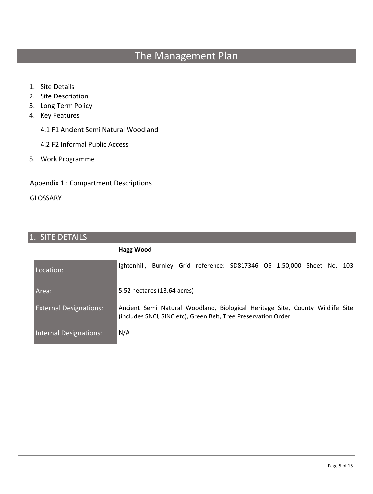# The Management Plan

- 1. Site Details
- 2. Site Description
- 3. Long Term Policy
- 4. Key Features
	- 4.1 F1 Ancient Semi Natural Woodland
	- 4.2 F2 Informal Public Access
- 5. Work Programme

Appendix 1 : Compartment Descriptions

GLOSSARY

# 1. SITE DETAILS

|                               | Hagg Wood                                                                                                                                       |
|-------------------------------|-------------------------------------------------------------------------------------------------------------------------------------------------|
| Location:                     | Ightenhill, Burnley Grid reference: SD817346 OS 1:50,000 Sheet No. 103                                                                          |
| Area:                         | 5.52 hectares (13.64 acres)                                                                                                                     |
| <b>External Designations:</b> | Ancient Semi Natural Woodland, Biological Heritage Site, County Wildlife Site<br>(includes SNCI, SINC etc), Green Belt, Tree Preservation Order |
| Internal Designations:        | N/A                                                                                                                                             |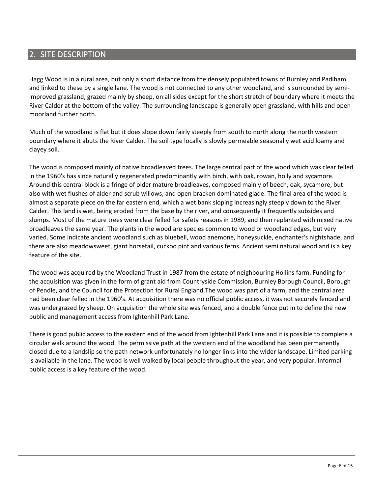# 2. SITE DESCRIPTION

Hagg Wood is in a rural area, but only a short distance from the densely populated towns of Burnley and Padiham and linked to these by a single lane. The wood is not connected to any other woodland, and is surrounded by semiimproved grassland, grazed mainly by sheep, on all sides except for the short stretch of boundary where it meets the River Calder at the bottom of the valley. The surrounding landscape is generally open grassland, with hills and open moorland further north.

Much of the woodland is flat but it does slope down fairly steeply from south to north along the north western boundary where it abuts the River Calder. The soil type locally is slowly permeable seasonally wet acid loamy and clayey soil.

The wood is composed mainly of native broadleaved trees. The large central part of the wood which was clear felled in the 1960's has since naturally regenerated predominantly with birch, with oak, rowan, holly and sycamore. Around this central block is a fringe of older mature broadleaves, composed mainly of beech, oak, sycamore, but also with wet flushes of alder and scrub willows, and open bracken dominated glade. The final area of the wood is almost a separate piece on the far eastern end, which a wet bank sloping increasingly steeply down to the River Calder. This land is wet, being eroded from the base by the river, and consequently it frequently subsides and slumps. Most of the mature trees were clear felled for safety reasons in 1989, and then replanted with mixed native broadleaves the same year. The plants in the wood are species common to wood or woodland edges, but very varied. Some indicate ancient woodland such as bluebell, wood anemone, honeysuckle, enchanter's nightshade, and there are also meadowsweet, giant horsetail, cuckoo pint and various ferns. Ancient semi natural woodland is a key feature of the site.

The wood was acquired by the Woodland Trust in 1987 from the estate of neighbouring Hollins farm. Funding for the acquisition was given in the form of grant aid from Countryside Commission, Burnley Borough Council, Borough of Pendle, and the Council for the Protection for Rural England.The wood was part of a farm, and the central area had been clear felled in the 1960's. At acquisition there was no official public access, it was not securely fenced and was undergrazed by sheep. On acquisition the whole site was fenced, and a double fence put in to define the new public and management access from Ightenhill Park Lane.

There is good public access to the eastern end of the wood from Ightenhill Park Lane and it is possible to complete a circular walk around the wood. The permissive path at the western end of the woodland has been permanently closed due to a landslip so the path network unfortunately no longer links into the wider landscape. Limited parking is available in the lane. The wood is well walked by local people throughout the year, and very popular. Informal public access is a key feature of the wood.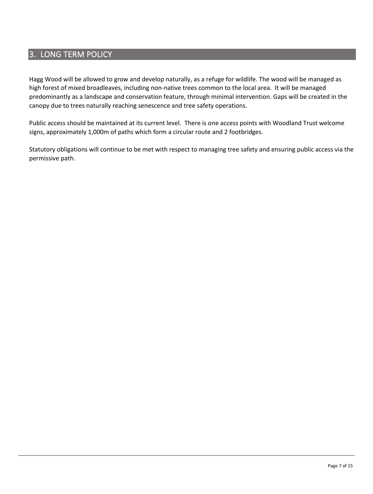# 3. LONG TERM POLICY

Hagg Wood will be allowed to grow and develop naturally, as a refuge for wildlife. The wood will be managed as high forest of mixed broadleaves, including non-native trees common to the local area. It will be managed predominantly as a landscape and conservation feature, through minimal intervention. Gaps will be created in the canopy due to trees naturally reaching senescence and tree safety operations.

Public access should be maintained at its current level. There is one access points with Woodland Trust welcome signs, approximately 1,000m of paths which form a circular route and 2 footbridges.

Statutory obligations will continue to be met with respect to managing tree safety and ensuring public access via the permissive path.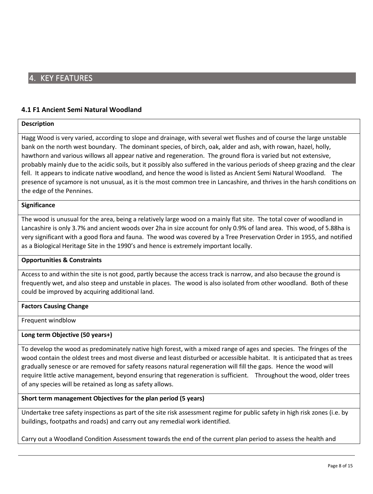# 4. KEY FEATURES

#### **4.1 F1 Ancient Semi Natural Woodland**

#### **Description**

Hagg Wood is very varied, according to slope and drainage, with several wet flushes and of course the large unstable bank on the north west boundary. The dominant species, of birch, oak, alder and ash, with rowan, hazel, holly, hawthorn and various willows all appear native and regeneration. The ground flora is varied but not extensive, probably mainly due to the acidic soils, but it possibly also suffered in the various periods of sheep grazing and the clear fell. It appears to indicate native woodland, and hence the wood is listed as Ancient Semi Natural Woodland. The presence of sycamore is not unusual, as it is the most common tree in Lancashire, and thrives in the harsh conditions on the edge of the Pennines.

#### **Significance**

The wood is unusual for the area, being a relatively large wood on a mainly flat site. The total cover of woodland in Lancashire is only 3.7% and ancient woods over 2ha in size account for only 0.9% of land area. This wood, of 5.88ha is very significant with a good flora and fauna. The wood was covered by a Tree Preservation Order in 1955, and notified as a Biological Heritage Site in the 1990's and hence is extremely important locally.

#### **Opportunities & Constraints**

Access to and within the site is not good, partly because the access track is narrow, and also because the ground is frequently wet, and also steep and unstable in places. The wood is also isolated from other woodland. Both of these could be improved by acquiring additional land.

#### **Factors Causing Change**

Frequent windblow

#### **Long term Objective (50 years+)**

To develop the wood as predominately native high forest, with a mixed range of ages and species. The fringes of the wood contain the oldest trees and most diverse and least disturbed or accessible habitat. It is anticipated that as trees gradually senesce or are removed for safety reasons natural regeneration will fill the gaps. Hence the wood will require little active management, beyond ensuring that regeneration is sufficient. Throughout the wood, older trees of any species will be retained as long as safety allows.

#### **Short term management Objectives for the plan period (5 years)**

Undertake tree safety inspections as part of the site risk assessment regime for public safety in high risk zones (i.e. by buildings, footpaths and roads) and carry out any remedial work identified.

Carry out a Woodland Condition Assessment towards the end of the current plan period to assess the health and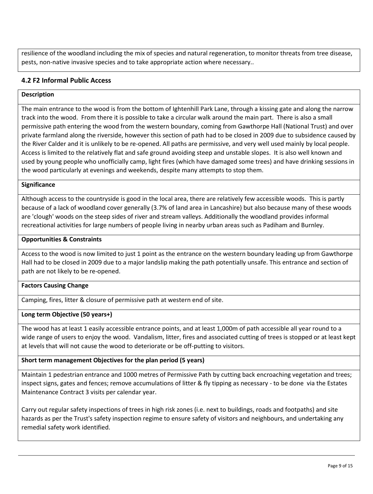resilience of the woodland including the mix of species and natural regeneration, to monitor threats from tree disease, pests, non-native invasive species and to take appropriate action where necessary..

# **4.2 F2 Informal Public Access**

#### **Description**

The main entrance to the wood is from the bottom of Ightenhill Park Lane, through a kissing gate and along the narrow track into the wood. From there it is possible to take a circular walk around the main part. There is also a small permissive path entering the wood from the western boundary, coming from Gawthorpe Hall (National Trust) and over private farmland along the riverside, however this section of path had to be closed in 2009 due to subsidence caused by the River Calder and it is unlikely to be re-opened. All paths are permissive, and very well used mainly by local people. Access is limited to the relatively flat and safe ground avoiding steep and unstable slopes. It is also well known and used by young people who unofficially camp, light fires (which have damaged some trees) and have drinking sessions in the wood particularly at evenings and weekends, despite many attempts to stop them.

#### **Significance**

Although access to the countryside is good in the local area, there are relatively few accessible woods. This is partly because of a lack of woodland cover generally (3.7% of land area in Lancashire) but also because many of these woods are 'clough' woods on the steep sides of river and stream valleys. Additionally the woodland provides informal recreational activities for large numbers of people living in nearby urban areas such as Padiham and Burnley.

#### **Opportunities & Constraints**

Access to the wood is now limited to just 1 point as the entrance on the western boundary leading up from Gawthorpe Hall had to be closed in 2009 due to a major landslip making the path potentially unsafe. This entrance and section of path are not likely to be re-opened.

#### **Factors Causing Change**

Camping, fires, litter & closure of permissive path at western end of site.

#### **Long term Objective (50 years+)**

The wood has at least 1 easily accessible entrance points, and at least 1,000m of path accessible all year round to a wide range of users to enjoy the wood. Vandalism, litter, fires and associated cutting of trees is stopped or at least kept at levels that will not cause the wood to deteriorate or be off-putting to visitors.

#### **Short term management Objectives for the plan period (5 years)**

Maintain 1 pedestrian entrance and 1000 metres of Permissive Path by cutting back encroaching vegetation and trees; inspect signs, gates and fences; remove accumulations of litter & fly tipping as necessary - to be done via the Estates Maintenance Contract 3 visits per calendar year.

Carry out regular safety inspections of trees in high risk zones (i.e. next to buildings, roads and footpaths) and site hazards as per the Trust's safety inspection regime to ensure safety of visitors and neighbours, and undertaking any remedial safety work identified.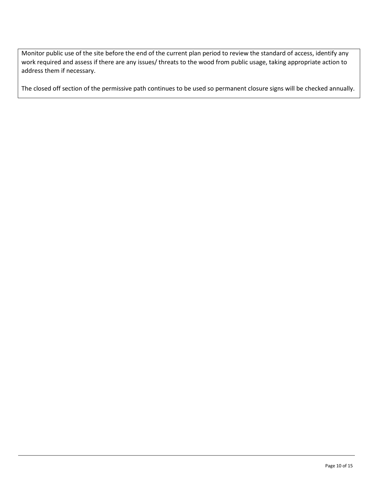Monitor public use of the site before the end of the current plan period to review the standard of access, identify any work required and assess if there are any issues/ threats to the wood from public usage, taking appropriate action to address them if necessary.

The closed off section of the permissive path continues to be used so permanent closure signs will be checked annually.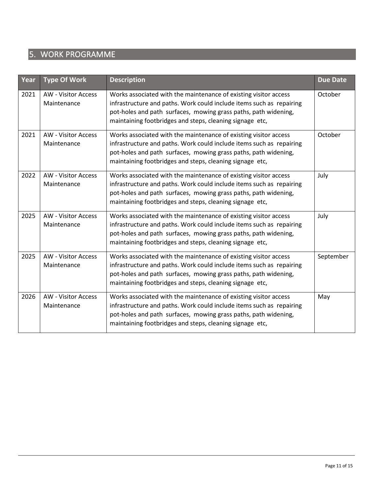# 5. WORK PROGRAMME

| Year | <b>Type Of Work</b>                                                                                                                                                                                                                                                                                                  | <b>Description</b>                                                                                                                                                                                                                                                      | <b>Due Date</b> |  |  |  |
|------|----------------------------------------------------------------------------------------------------------------------------------------------------------------------------------------------------------------------------------------------------------------------------------------------------------------------|-------------------------------------------------------------------------------------------------------------------------------------------------------------------------------------------------------------------------------------------------------------------------|-----------------|--|--|--|
| 2021 | <b>AW</b> - Visitor Access<br>Maintenance                                                                                                                                                                                                                                                                            | Works associated with the maintenance of existing visitor access<br>infrastructure and paths. Work could include items such as repairing<br>pot-holes and path surfaces, mowing grass paths, path widening,<br>maintaining footbridges and steps, cleaning signage etc, | October         |  |  |  |
| 2021 | <b>AW - Visitor Access</b><br>Maintenance                                                                                                                                                                                                                                                                            | Works associated with the maintenance of existing visitor access<br>infrastructure and paths. Work could include items such as repairing<br>pot-holes and path surfaces, mowing grass paths, path widening,<br>maintaining footbridges and steps, cleaning signage etc, | October         |  |  |  |
| 2022 | <b>AW - Visitor Access</b><br>Maintenance                                                                                                                                                                                                                                                                            | Works associated with the maintenance of existing visitor access<br>infrastructure and paths. Work could include items such as repairing<br>pot-holes and path surfaces, mowing grass paths, path widening,<br>maintaining footbridges and steps, cleaning signage etc, |                 |  |  |  |
| 2025 | <b>AW - Visitor Access</b><br>Maintenance                                                                                                                                                                                                                                                                            | Works associated with the maintenance of existing visitor access<br>infrastructure and paths. Work could include items such as repairing<br>pot-holes and path surfaces, mowing grass paths, path widening,<br>maintaining footbridges and steps, cleaning signage etc, |                 |  |  |  |
| 2025 | Works associated with the maintenance of existing visitor access<br><b>AW - Visitor Access</b><br>infrastructure and paths. Work could include items such as repairing<br>Maintenance<br>pot-holes and path surfaces, mowing grass paths, path widening,<br>maintaining footbridges and steps, cleaning signage etc, |                                                                                                                                                                                                                                                                         | September       |  |  |  |
| 2026 | Works associated with the maintenance of existing visitor access<br><b>AW - Visitor Access</b><br>infrastructure and paths. Work could include items such as repairing<br>Maintenance<br>pot-holes and path surfaces, mowing grass paths, path widening,<br>maintaining footbridges and steps, cleaning signage etc, |                                                                                                                                                                                                                                                                         | May             |  |  |  |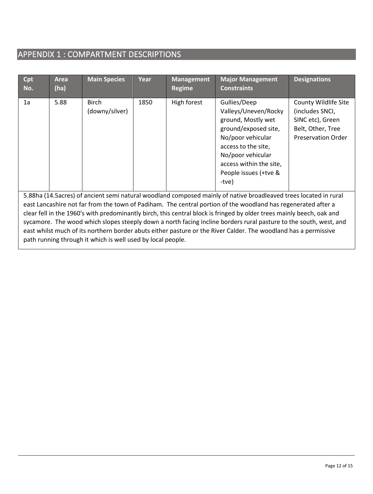# APPENDIX 1 : COMPARTMENT DESCRIPTIONS

| Cpt<br>No.                                                                                                                                                                                                                                                                                                                                                                                                                                                                                                                                                                                                                                                         | <b>Area</b><br>(ha) | <b>Main Species</b>            | Year | <b>Management</b><br><b>Regime</b> | <b>Major Management</b><br><b>Constraints</b>                                                                                                                                                                    | <b>Designations</b>                                                                                                  |  |  |
|--------------------------------------------------------------------------------------------------------------------------------------------------------------------------------------------------------------------------------------------------------------------------------------------------------------------------------------------------------------------------------------------------------------------------------------------------------------------------------------------------------------------------------------------------------------------------------------------------------------------------------------------------------------------|---------------------|--------------------------------|------|------------------------------------|------------------------------------------------------------------------------------------------------------------------------------------------------------------------------------------------------------------|----------------------------------------------------------------------------------------------------------------------|--|--|
| 1a                                                                                                                                                                                                                                                                                                                                                                                                                                                                                                                                                                                                                                                                 | 5.88                | <b>Birch</b><br>(downy/silver) | 1850 | High forest                        | Gullies/Deep<br>Valleys/Uneven/Rocky<br>ground, Mostly wet<br>ground/exposed site,<br>No/poor vehicular<br>access to the site,<br>No/poor vehicular<br>access within the site,<br>People issues (+tve &<br>-tve) | <b>County Wildlife Site</b><br>(includes SNCI,<br>SINC etc), Green<br>Belt, Other, Tree<br><b>Preservation Order</b> |  |  |
| 5.88ha (14.5 acres) of ancient semi natural woodland composed mainly of native broadleaved trees located in rural<br>east Lancashire not far from the town of Padiham. The central portion of the woodland has regenerated after a<br>clear fell in the 1960's with predominantly birch, this central block is fringed by older trees mainly beech, oak and<br>sycamore. The wood which slopes steeply down a north facing incline borders rural pasture to the south, west, and<br>east whilst much of its northern border abuts either pasture or the River Calder. The woodland has a permissive<br>path running through it which is well used by local people. |                     |                                |      |                                    |                                                                                                                                                                                                                  |                                                                                                                      |  |  |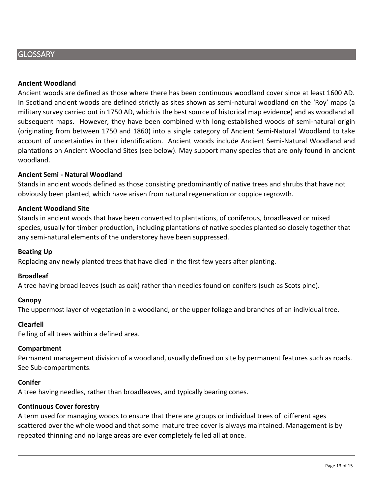# **GLOSSARY**

#### **Ancient Woodland**

Ancient woods are defined as those where there has been continuous woodland cover since at least 1600 AD. In Scotland ancient woods are defined strictly as sites shown as semi-natural woodland on the 'Roy' maps (a military survey carried out in 1750 AD, which is the best source of historical map evidence) and as woodland all subsequent maps. However, they have been combined with long-established woods of semi-natural origin (originating from between 1750 and 1860) into a single category of Ancient Semi-Natural Woodland to take account of uncertainties in their identification. Ancient woods include Ancient Semi-Natural Woodland and plantations on Ancient Woodland Sites (see below). May support many species that are only found in ancient woodland.

#### **Ancient Semi - Natural Woodland**

Stands in ancient woods defined as those consisting predominantly of native trees and shrubs that have not obviously been planted, which have arisen from natural regeneration or coppice regrowth.

#### **Ancient Woodland Site**

Stands in ancient woods that have been converted to plantations, of coniferous, broadleaved or mixed species, usually for timber production, including plantations of native species planted so closely together that any semi-natural elements of the understorey have been suppressed.

#### **Beating Up**

Replacing any newly planted trees that have died in the first few years after planting.

#### **Broadleaf**

A tree having broad leaves (such as oak) rather than needles found on conifers (such as Scots pine).

#### **Canopy**

The uppermost layer of vegetation in a woodland, or the upper foliage and branches of an individual tree.

#### **Clearfell**

Felling of all trees within a defined area.

#### **Compartment**

Permanent management division of a woodland, usually defined on site by permanent features such as roads. See Sub-compartments.

#### **Conifer**

A tree having needles, rather than broadleaves, and typically bearing cones.

#### **Continuous Cover forestry**

A term used for managing woods to ensure that there are groups or individual trees of different ages scattered over the whole wood and that some mature tree cover is always maintained. Management is by repeated thinning and no large areas are ever completely felled all at once.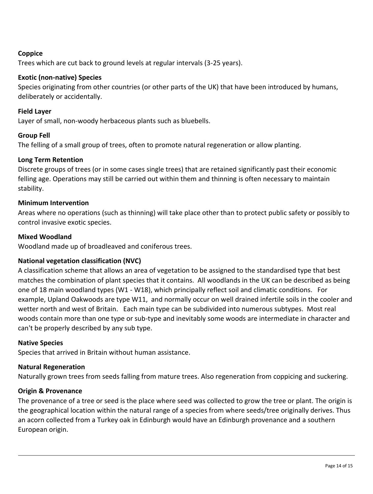# **Coppice**

Trees which are cut back to ground levels at regular intervals (3-25 years).

# **Exotic (non-native) Species**

Species originating from other countries (or other parts of the UK) that have been introduced by humans, deliberately or accidentally.

## **Field Layer**

Layer of small, non-woody herbaceous plants such as bluebells.

## **Group Fell**

The felling of a small group of trees, often to promote natural regeneration or allow planting.

## **Long Term Retention**

Discrete groups of trees (or in some cases single trees) that are retained significantly past their economic felling age. Operations may still be carried out within them and thinning is often necessary to maintain stability.

## **Minimum Intervention**

Areas where no operations (such as thinning) will take place other than to protect public safety or possibly to control invasive exotic species.

## **Mixed Woodland**

Woodland made up of broadleaved and coniferous trees.

# **National vegetation classification (NVC)**

A classification scheme that allows an area of vegetation to be assigned to the standardised type that best matches the combination of plant species that it contains. All woodlands in the UK can be described as being one of 18 main woodland types (W1 - W18), which principally reflect soil and climatic conditions. For example, Upland Oakwoods are type W11, and normally occur on well drained infertile soils in the cooler and wetter north and west of Britain. Each main type can be subdivided into numerous subtypes. Most real woods contain more than one type or sub-type and inevitably some woods are intermediate in character and can't be properly described by any sub type.

## **Native Species**

Species that arrived in Britain without human assistance.

## **Natural Regeneration**

Naturally grown trees from seeds falling from mature trees. Also regeneration from coppicing and suckering.

## **Origin & Provenance**

The provenance of a tree or seed is the place where seed was collected to grow the tree or plant. The origin is the geographical location within the natural range of a species from where seeds/tree originally derives. Thus an acorn collected from a Turkey oak in Edinburgh would have an Edinburgh provenance and a southern European origin.